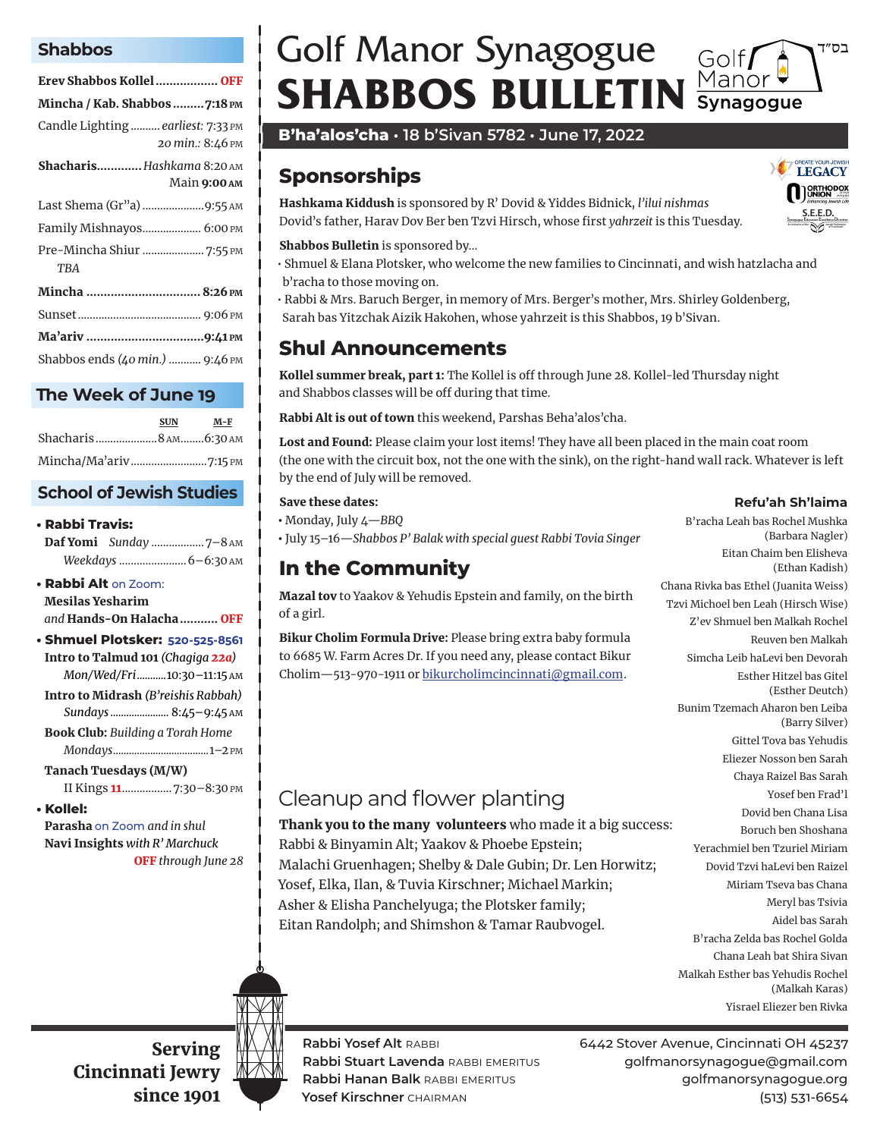#### **Shabbos**

| Erev Shabbos Kollel  OFF                                 |  |  |  |
|----------------------------------------------------------|--|--|--|
| Mincha / Kab. Shabbos 7:18 PM                            |  |  |  |
| Candle Lighting  earliest: 7:33 PM<br>20 min.: 8:46 PM   |  |  |  |
| <b>Shacharis Hashkama 8:20 AM</b><br>Main <b>9:00</b> AM |  |  |  |
|                                                          |  |  |  |
| Family Mishnayos 6:00 PM                                 |  |  |  |
| Pre-Mincha Shiur  7:55 PM<br>TRA                         |  |  |  |
| Mincha  8:26 PM                                          |  |  |  |
|                                                          |  |  |  |
|                                                          |  |  |  |
| Shabbos ends (40 min.)  9:46 PM                          |  |  |  |

#### **The Week of June 19**

|                       | <b>SUN</b> | M-F |
|-----------------------|------------|-----|
| Shacharis8 AM6:30 AM  |            |     |
| Mincha/Ma'ariv7:15 PM |            |     |

### **School of Jewish Studies**

#### **• Rabbi Travis:**

Daf Yomi *Sunday* ..................7–8 am *Weekdays* .......................6–6:30 am

#### **• Rabbi Alt** on Zoom:

Mesilas Yesharim *and* Hands-On Halacha ........... OFF

- **Shmuel Plotsker: 520-525-8561** Intro to Talmud 101 *(Chagiga 22a) Mon/Wed/Fri ...........*10:30–11:15 am
- Intro to Midrash *(B'reishis Rabbah)*
- *Sundays ......................* 8:45–9:45 am

Book Club: *Building a Torah Home Mondays....................................*1–2 pm

#### Tanach Tuesdays (M/W)

II Kings 11 .................7:30–8:30 pm

#### **• Kollel:**

Parasha on Zoom *and in shul* Navi Insights *with R' Marchuck* OFF *through June 28*

## Golf Manor Synagogue בס״ד Golf**f**<br>Manor<br>Synagogu **SHABBOS BULLETIN**

**B'ha'alos'cha • 18 b'Sivan 5782 • June 17, 2022**

# **Sponsorships**

Hashkama Kiddush is sponsored by R' Dovid & Yiddes Bidnick, *l'ilui nishmas* Dovid's father, Harav Dov Ber ben Tzvi Hirsch, whose first *yahrzeit* is this Tuesday.

#### Shabbos Bulletin is sponsored by…

• Shmuel & Elana Plotsker, who welcome the new families to Cincinnati, and wish hatzlacha and b'racha to those moving on.

• Rabbi & Mrs. Baruch Berger, in memory of Mrs. Berger's mother, Mrs. Shirley Goldenberg, Sarah bas Yitzchak Aizik Hakohen, whose yahrzeit is this Shabbos, 19 b'Sivan.

# **Shul Announcements**

Kollel summer break, part 1: The Kollel is off through June 28. Kollel-led Thursday night and Shabbos classes will be off during that time.

Rabbi Alt is out of town this weekend, Parshas Beha'alos'cha.

Lost and Found: Please claim your lost items! They have all been placed in the main coat room (the one with the circuit box, not the one with the sink), on the right-hand wall rack. Whatever is left by the end of July will be removed.

#### Save these dates:

• Monday, July 4—*BBQ*

• July 15–16—*Shabbos P' Balak with special guest Rabbi Tovia Singer* 

# **In the Community**

Mazal tov to Yaakov & Yehudis Epstein and family, on the birth of a girl.

Bikur Cholim Formula Drive: Please bring extra baby formula to 6685 W. Farm Acres Dr. If you need any, please contact Bikur Cholim—513-970-1911 or bikurcholimcincinnati@gmail.com .

# Cleanup and flower planting

Thank you to the many volunteers who made it a big success: Rabbi & Binyamin Alt; Yaakov & Phoebe Epstein; Malachi Gruenhagen; Shelby & Dale Gubin; Dr. Len Horwitz; Yosef, Elka, Ilan, & Tuvia Kirschner; Michael Markin; Asher & Elisha Panchelyuga; the Plotsker family; Eitan Randolph; and Shimshon & Tamar Raubvogel.

Chana Rivka bas Ethel (Juanita Weiss) Tzvi Michoel ben Leah (Hirsch Wise) Z'ev Shmuel ben Malkah Rochel Reuven ben Malkah Simcha Leib haLevi ben Devorah Esther Hitzel bas Gitel (Esther Deutch) Bunim Tzemach Aharon ben Leiba (Barry Silver) Gittel Tova bas Yehudis Eliezer Nosson ben Sarah Chaya Raizel Bas Sarah Yosef ben Frad'l Dovid ben Chana Lisa Boruch ben Shoshana Yerachmiel ben Tzuriel Miriam Dovid Tzvi haLevi ben Raizel Miriam Tseva bas Chana Meryl bas Tsivia Aidel bas Sarah B'racha Zelda bas Rochel Golda Chana Leah bat Shira Sivan Malkah Esther bas Yehudis Rochel

Yisrael Eliezer ben Rivka

(Malkah Karas)

Serving Cincinnati Jewry since 1901



**Rabbi Yosef Alt** rabbi 6442 Stover Avenue, Cincinnati OH 45237 **Rabbi Stuart Lavenda** rabbi emeritus golfmanorsynagogue@gmail.com **Rabbi Hanan Balk** rabbi emeritus golfmanorsynagogue.org **Yosef Kirschner** chairman (513) 531-6654



**Refu'ah Sh'laima**

(Barbara Nagler) Eitan Chaim ben Elisheva

(Ethan Kadish)

B'racha Leah bas Rochel Mushka